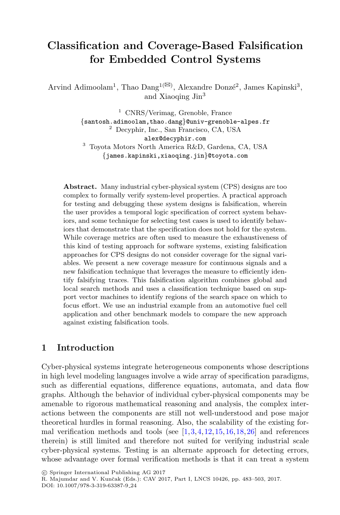# **Classification and Coverage-Based Falsification for Embedded Control Systems**

Arvind Adimoolam<sup>1</sup>, Thao  $\text{Dang}^{1(\boxtimes)}$ , Alexandre Donzé<sup>2</sup>, James Kapinski<sup>3</sup>, and Xiaoqing Jin<sup>3</sup>

> <sup>1</sup> CNRS/Verimag, Grenoble, France {santosh.adimoolam,thao.dang}@univ-grenoble-alpes.fr <sup>2</sup> Decyphir, Inc., San Francisco, CA, USA alex@decyphir.com <sup>3</sup> Toyota Motors North America R&D, Gardena, CA, USA {james.kapinski,xiaoqing.jin}@toyota.com

**Abstract.** Many industrial cyber-physical system (CPS) designs are too complex to formally verify system-level properties. A practical approach for testing and debugging these system designs is falsification, wherein the user provides a temporal logic specification of correct system behaviors, and some technique for selecting test cases is used to identify behaviors that demonstrate that the specification does not hold for the system. While coverage metrics are often used to measure the exhaustiveness of this kind of testing approach for software systems, existing falsification approaches for CPS designs do not consider coverage for the signal variables. We present a new coverage measure for continuous signals and a new falsification technique that leverages the measure to efficiently identify falsifying traces. This falsification algorithm combines global and local search methods and uses a classification technique based on support vector machines to identify regions of the search space on which to focus effort. We use an industrial example from an automotive fuel cell application and other benchmark models to compare the new approach against existing falsification tools.

## **1 Introduction**

Cyber-physical systems integrate heterogeneous components whose descriptions in high level modeling languages involve a wide array of specification paradigms, such as differential equations, difference equations, automata, and data flow graphs. Although the behavior of individual cyber-physical components may be amenable to rigorous mathematical reasoning and analysis, the complex interactions between the components are still not well-understood and pose major theoretical hurdles in formal reasoning. Also, the scalability of the existing formal verification methods and tools (see  $[1,3,4,12,15,16,18,26]$  $[1,3,4,12,15,16,18,26]$  $[1,3,4,12,15,16,18,26]$  $[1,3,4,12,15,16,18,26]$  $[1,3,4,12,15,16,18,26]$  $[1,3,4,12,15,16,18,26]$  $[1,3,4,12,15,16,18,26]$  $[1,3,4,12,15,16,18,26]$  $[1,3,4,12,15,16,18,26]$  $[1,3,4,12,15,16,18,26]$  and references therein) is still limited and therefore not suited for verifying industrial scale cyber-physical systems. Testing is an alternate approach for detecting errors, whose advantage over formal verification methods is that it can treat a system

-c Springer International Publishing AG 2017

R. Majumdar and V. Kunˇcak (Eds.): CAV 2017, Part I, LNCS 10426, pp. 483–503, 2017. DOI: 10.1007/978-3-319-63387-9 24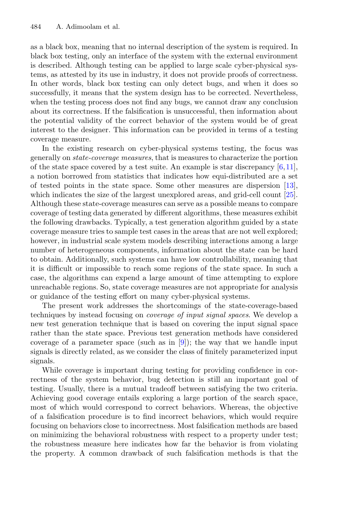as a black box, meaning that no internal description of the system is required. In black box testing, only an interface of the system with the external environment is described. Although testing can be applied to large scale cyber-physical systems, as attested by its use in industry, it does not provide proofs of correctness. In other words, black box testing can only detect bugs, and when it does so successfully, it means that the system design has to be corrected. Nevertheless, when the testing process does not find any bugs, we cannot draw any conclusion about its correctness. If the falsification is unsuccessful, then information about the potential validity of the correct behavior of the system would be of great interest to the designer. This information can be provided in terms of a testing coverage measure.

In the existing research on cyber-physical systems testing, the focus was generally on *state-coverage measures*, that is measures to characterize the portion of the state space covered by a test suite. An example is star discrepancy  $[6,11]$  $[6,11]$ , a notion borrowed from statistics that indicates how equi-distributed are a set of tested points in the state space. Some other measures are dispersion [\[13\]](#page-19-7), which indicates the size of the largest unexplored areas, and grid-cell count [\[25\]](#page-20-3). Although these state-coverage measures can serve as a possible means to compare coverage of testing data generated by different algorithms, these measures exhibit the following drawbacks. Typically, a test generation algorithm guided by a state coverage measure tries to sample test cases in the areas that are not well explored; however, in industrial scale system models describing interactions among a large number of heterogeneous components, information about the state can be hard to obtain. Additionally, such systems can have low controllability, meaning that it is difficult or impossible to reach some regions of the state space. In such a case, the algorithms can expend a large amount of time attempting to explore unreachable regions. So, state coverage measures are not appropriate for analysis or guidance of the testing effort on many cyber-physical systems.

The present work addresses the shortcomings of the state-coverage-based techniques by instead focusing on *coverage of input signal spaces*. We develop a new test generation technique that is based on covering the input signal space rather than the state space. Previous test generation methods have considered coverage of a parameter space (such as in  $[9]$  $[9]$ ); the way that we handle input signals is directly related, as we consider the class of finitely parameterized input signals.

While coverage is important during testing for providing confidence in correctness of the system behavior, bug detection is still an important goal of testing. Usually, there is a mutual tradeoff between satisfying the two criteria. Achieving good coverage entails exploring a large portion of the search space, most of which would correspond to correct behaviors. Whereas, the objective of a falsification procedure is to find incorrect behaviors, which would require focusing on behaviors close to incorrectness. Most falsification methods are based on minimizing the behavioral robustness with respect to a property under test; the robustness measure here indicates how far the behavior is from violating the property. A common drawback of such falsification methods is that the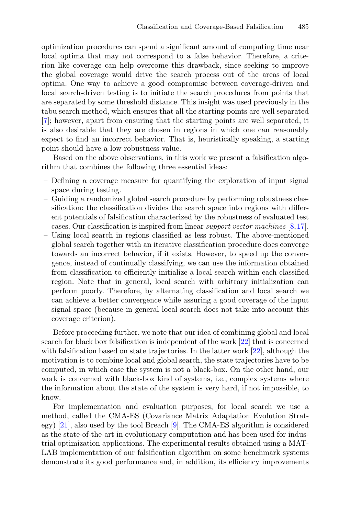optimization procedures can spend a significant amount of computing time near local optima that may not correspond to a false behavior. Therefore, a criterion like coverage can help overcome this drawback, since seeking to improve the global coverage would drive the search process out of the areas of local optima. One way to achieve a good compromise between coverage-driven and local search-driven testing is to initiate the search procedures from points that are separated by some threshold distance. This insight was used previously in the tabu search method, which ensures that all the starting points are well separated [\[7](#page-19-9)]; however, apart from ensuring that the starting points are well separated, it is also desirable that they are chosen in regions in which one can reasonably expect to find an incorrect behavior. That is, heuristically speaking, a starting point should have a low robustness value.

Based on the above observations, in this work we present a falsification algorithm that combines the following three essential ideas:

- Defining a coverage measure for quantifying the exploration of input signal space during testing.
- Guiding a randomized global search procedure by performing robustness classification: the classification divides the search space into regions with different potentials of falsification characterized by the robustness of evaluated test cases. Our classification is inspired from linear *support vector machines* [\[8](#page-19-10),[17\]](#page-20-4).
- Using local search in regions classified as less robust. The above-mentioned global search together with an iterative classification procedure does converge towards an incorrect behavior, if it exists. However, to speed up the convergence, instead of continually classifying, we can use the information obtained from classification to efficiently initialize a local search within each classified region. Note that in general, local search with arbitrary initialization can perform poorly. Therefore, by alternating classification and local search we can achieve a better convergence while assuring a good coverage of the input signal space (because in general local search does not take into account this coverage criterion).

Before proceeding further, we note that our idea of combining global and local search for black box falsification is independent of the work [\[22\]](#page-20-5) that is concerned with falsification based on state trajectories. In the latter work [\[22\]](#page-20-5), although the motivation is to combine local and global search, the state trajectories have to be computed, in which case the system is not a black-box. On the other hand, our work is concerned with black-box kind of systems, i.e., complex systems where the information about the state of the system is very hard, if not impossible, to know.

For implementation and evaluation purposes, for local search we use a method, called the CMA-ES (Covariance Matrix Adaptation Evolution Strategy) [\[21\]](#page-20-6), also used by the tool Breach [\[9\]](#page-19-8). The CMA-ES algorithm is considered as the state-of-the-art in evolutionary computation and has been used for industrial optimization applications. The experimental results obtained using a MAT-LAB implementation of our falsification algorithm on some benchmark systems demonstrate its good performance and, in addition, its efficiency improvements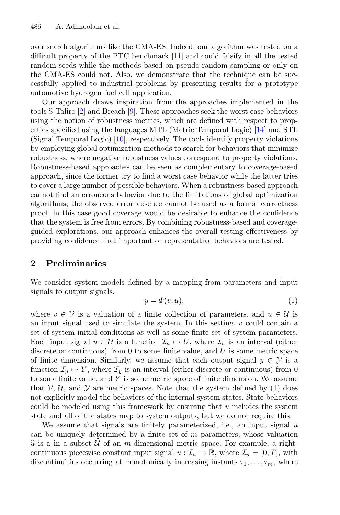over search algorithms like the CMA-ES. Indeed, our algorithm was tested on a difficult property of the PTC benchmark [\[11](#page-19-6)] and could falsify in all the tested random seeds while the methods based on pseudo-random sampling or only on the CMA-ES could not. Also, we demonstrate that the technique can be successfully applied to industrial problems by presenting results for a prototype automotive hydrogen fuel cell application.

Our approach draws inspiration from the approaches implemented in the tools S-Taliro [\[2\]](#page-19-11) and Breach [\[9\]](#page-19-8). These approaches seek the worst case behaviors using the notion of robustness metrics, which are defined with respect to properties specified using the languages MTL (Metric Temporal Logic) [\[14\]](#page-19-12) and STL (Signal Temporal Logic) [\[10\]](#page-19-13), respectively. The tools identify property violations by employing global optimization methods to search for behaviors that minimize robustness, where negative robustness values correspond to property violations. Robustness-based approaches can be seen as complementary to coverage-based approach, since the former try to find a worst case behavior while the latter tries to cover a large number of possible behaviors. When a robustness-based approach cannot find an erroneous behavior due to the limitations of global optimization algorithms, the observed error absence cannot be used as a formal correctness proof; in this case good coverage would be desirable to enhance the confidence that the system is free from errors. By combining robustness-based and coverageguided explorations, our approach enhances the overall testing effectiveness by providing confidence that important or representative behaviors are tested.

## <span id="page-3-1"></span>**2 Preliminaries**

We consider system models defined by a mapping from parameters and input signals to output signals,

<span id="page-3-0"></span>
$$
y = \Phi(v, u),\tag{1}
$$

where  $v \in V$  is a valuation of a finite collection of parameters, and  $u \in U$  is an input signal used to simulate the system. In this setting,  $v$  could contain a set of system initial conditions as well as some finite set of system parameters. Each input signal  $u \in \mathcal{U}$  is a function  $\mathcal{I}_u \mapsto U$ , where  $\mathcal{I}_u$  is an interval (either discrete or continuous) from 0 to some finite value, and  $U$  is some metric space of finite dimension. Similarly, we assume that each output signal  $y \in \mathcal{Y}$  is a function  $\mathcal{I}_y \mapsto Y$ , where  $\mathcal{I}_y$  is an interval (either discrete or continuous) from 0 to some finite value, and Y is some metric space of finite dimension. We assume that  $V, U$ , and  $V$  are metric spaces. Note that the system defined by [\(1\)](#page-3-0) does not explicitly model the behaviors of the internal system states. State behaviors could be modeled using this framework by ensuring that  $v$  includes the system state and all of the states map to system outputs, but we do not require this.

We assume that signals are finitely parameterized, i.e., an input signal  $u$ can be uniquely determined by a finite set of  $m$  parameters, whose valuation  $\frac{c}{\hat{u}}$ state and all of the s<br>We assume that<br>can be uniquely detains in a subset  $\hat{U}$  $\hat{u}$  is a in a subset U of an m-dimensional metric space. For example, a rightcontinuous piecewise constant input signal  $u : \mathcal{I}_u \to \mathbb{R}$ , where  $\mathcal{I}_u = [0, T]$ , with discontinuities occurring at monotonically increasing instants  $\tau_1, \ldots, \tau_m$ , where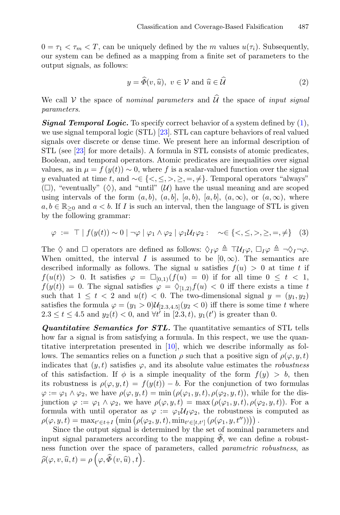$0 = \tau_1 < \tau_m < T$ , can be uniquely defined by the m values  $u(\tau_i)$ . Subsequently, our system can be defined as a mapping from a finite set of parameters to the<br>output signals, as follows:<br> $y = \hat{\Phi}(v, \hat{u}), v \in \mathcal{V}$  and  $\hat{u} \in \hat{\mathcal{U}}$  (2) output signals, as follows:

$$
y = \widehat{\Phi}(v, \widehat{u}), \ v \in \mathcal{V} \text{ and } \widehat{u} \in \widehat{\mathcal{U}} \tag{2}
$$

<span id="page-4-1"></span> $y=\widehat{\Phi}(v,\widehat{u}),\ v\in\mathcal{V}\ \text{and}\ \widehat{u}\in\widehat{\mathcal{U}}\qquad \qquad (2)$  We call  $\mathcal{V}$  the space of *nominal parameters* and  $\widehat{\mathcal{U}}$  the space of *input signal parameters*.

*Signal Temporal Logic.* To specify correct behavior of a system defined by [\(1\)](#page-3-0), we use signal temporal logic (STL) [\[23\]](#page-20-7). STL can capture behaviors of real valued signals over discrete or dense time. We present here an informal description of STL (see [\[23](#page-20-7)] for more details). A formula in STL consists of atomic predicates, Boolean, and temporal operators. Atomic predicates are inequalities over signal values, as in  $\mu = f(y(t)) \sim 0$ , where f is a scalar-valued function over the signal y evaluated at time t, and  $\sim \in \{ \leq, \leq, >, \geq, =, \neq \}$ . Temporal operators "always"  $(\Box)$ , "eventually"  $(\Diamond)$ , and "until"  $(\mathcal{U})$  have the usual meaning and are scoped using intervals of the form  $(a, b)$ ,  $(a, b]$ ,  $[a, b)$ ,  $[a, b]$ ,  $(a, \infty)$ , or  $(a, \infty)$ , where  $a, b \in \mathbb{R}_{\geq 0}$  and  $a < b$ . If I is such an interval, then the language of STL is given by the following grammar:

$$
\varphi := \top | f(y(t)) \sim 0 | \neg \varphi | \varphi_1 \wedge \varphi_2 | \varphi_1 U_I \varphi_2 : \quad \sim \in \{ \leq, \leq, \gt, \geq, =, \neq \} \quad (3)
$$

<span id="page-4-0"></span>The  $\Diamond$  and  $\Box$  operators are defined as follows:  $\Diamond_I \varphi \triangleq \top \mathcal{U}_I \varphi$ ,  $\Box_I \varphi \triangleq \neg \Diamond_I \neg \varphi$ . When omitted, the interval I is assumed to be  $[0, \infty)$ . The semantics are described informally as follows. The signal u satisfies  $f(u) > 0$  at time t if  $f(u(t)) > 0$ . It satisfies  $\varphi = \Box_{[0,1)}(f(u) = 0)$  if for all time  $0 \le t < 1$ ,  $f(y(t)) = 0$ . The signal satisfies  $\varphi = \Diamond_{[1,2]} f(u) < 0$  iff there exists a time t such that  $1 \leq t < 2$  and  $u(t) < 0$ . The two-dimensional signal  $y = (y_1, y_2)$ satisfies the formula  $\varphi = (y_1 > 0) \mathcal{U}_{[2,3,4,5]}(y_2 < 0)$  iff there is some time t where  $2.3 \le t \le 4.5$  and  $y_2(t) < 0$ , and  $\forall t'$  in [2.3, t),  $y_1(t')$  is greater than 0.

*Quantitative Semantics for STL.* The quantitative semantics of STL tells how far a signal is from satisfying a formula. In this respect, we use the quantitative interpretation presented in [\[10](#page-19-13)], which we describe informally as follows. The semantics relies on a function  $\rho$  such that a positive sign of  $\rho(\varphi, y, t)$ indicates that  $(y, t)$  satisfies  $\varphi$ , and its absolute value estimates the *robustness* of this satisfaction. If  $\phi$  is a simple inequality of the form  $f(y) > b$ , then its robustness is  $\rho(\varphi, y, t) = f(y(t)) - b$ . For the conjunction of two formulas  $\varphi := \varphi_1 \wedge \varphi_2$ , we have  $\rho(\varphi, y, t) = \min(\rho(\varphi_1, y, t), \rho(\varphi_2, y, t))$ , while for the disjunction  $\varphi := \varphi_1 \wedge \varphi_2$ , we have  $\rho(\varphi, y, t) = \max(\rho(\varphi_1, y, t), \rho(\varphi_2, y, t))$ . For a formula with until operator as  $\varphi := \varphi_1 \mathcal{U}_I \varphi_2$ , the robustness is computed as  $\rho(\varphi, y, t) = \max_{t' \in t + I} (\min(\rho(\varphi_2, y, t), \min_{t' \in [t, t']})$  $\rho(\varphi, y, t) = \min(\rho(\varphi_1, y, t), \rho(\varphi_2, y, t)),$  where  $\rho(\varphi, y, t) = \max(\rho(\varphi_1, y, t), \rho(\varphi_2, y, t)),$ <br>we have  $\rho(\varphi, y, t) = \max(\rho(\varphi_1, y, t), \rho(\varphi_2, y, t))$  .

Since the output signal is determined by the set of nominal parameters and formula with until operator as  $\varphi := \varphi_1 U_I \varphi_2$ , the re<br>  $\rho(\varphi, y, t) = \max_{t' \in t+I} (\min (\rho(\varphi_2, y, t), \min_{t' \in [t,t']} (\rho(\varphi_2, \text{Since the output signal is determined by the set of})$ <br>
input signal parameters according to the mapping  $\widehat{\Phi}$ input signal parameters according to the mapping  $\widetilde{\Phi}$ , we can define a robustness function over the space of parameters, called *parametric robustness*, as  $\frac{\text{in}}{\widehat{\rho}}$ Since the output signal is d<br>put signal parameters accord<br>ess function over the space<br> $(\varphi, v, \hat{u}, t) = \rho \left( \varphi, \hat{\Phi}(v, \hat{u}), t \right).$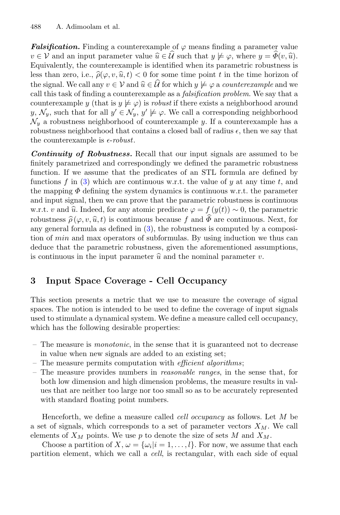*Falsification.* Finding a counterexample of  $\varphi$  means finding a parameter value **Falsification.** Finding a counterexample of  $\varphi$  means finding a parameter value  $\hat{u} \in \mathcal{U}$  and an input parameter value  $\hat{u} \in \mathcal{U}$  such that  $y \nvDash \varphi$ , where  $y = \hat{\Phi}(v, \hat{u})$  $v \in V$  and an input parameter value  $\hat{u} \in \mathcal{U}$  such that  $y \not\models \varphi$ , where  $y = \Phi(v, \hat{u})$ . Equivalently, the counterexample is identified when its parametric robustness is *rasyleation.* Finding a cou $v \in V$  and an input paramete<br>Equivalently, the counterexan<br>less than zero, i.e.,  $\hat{\rho}(\varphi, v, \hat{u}, t)$ less than zero, i.e.,  $\hat{\rho}(\varphi, v, \hat{u}, t) < 0$  for some time point t in the time horizon of  $v \in V$  and an input parameter value  $u$ <br>Equivalently, the counterexample is identified less than zero, i.e.,  $\hat{\rho}(\varphi, v, \hat{u}, t) < 0$  for<br>the signal. We call any  $v \in V$  and  $\hat{u} \in \hat{\mathcal{U}}$ the signal. We call any  $v \in V$  and  $\hat{u} \in \hat{\mathcal{U}}$  for which  $u \not\models \varphi$  a *counterexample* and we call this task of finding a counterexample as a *falsification problem*. We say that a counterexample y (that is  $y \not\models \varphi$ ) is *robust* if there exists a neighborhood around y,  $\mathcal{N}_y$ , such that for all  $y' \in \mathcal{N}_y$ ,  $y' \not\models \varphi$ . We call a corresponding neighborhood  $\mathcal{N}_y$  a robustness neighborhood of counterexample y. If a counterexample has a robustness neighborhood that contains a closed ball of radius  $\epsilon$ , then we say that the counterexample is  $\epsilon$ -*robust*.

*Continuity of Robustness.* Recall that our input signals are assumed to be finitely parametrized and correspondingly we defined the parametric robustness function. If we assume that the predicates of an STL formula are defined by functions f in [\(3\)](#page-4-0) which are continuous w.r.t. the value of y at any time t, and the mapping  $\Phi$  defining the system dynamics is continuous w.r.t. the parameter and input signal, then we can prove that the parametric robustness is continuous functions  $J$  if<br>the mapping  $\alpha$ <br>and input sign<br>w.r.t.  $v$  and  $\hat{u}$ w.r.t. v and  $\hat{u}$ . Indeed, for any atomic predicate  $\varphi = f(y(t)) \sim 0$ , the parametric the mapping  $\varPhi$  defining the system dynamics is continuous w.r.t. the parameter<br>and input signal, then we can prove that the parametric robustness is continuous<br>w.r.t. v and  $\hat{u}$ . Indeed, for any atomic predicate  $\var$ any general formula as defined in [\(3\)](#page-4-0), the robustness is computed by a composition of min and max operators of subformulas. By using induction we thus can deduce that the parametric robustness, given the aforementioned assumptions, any general formula as defined in (3), t<br>tion of *min* and max operators of subf<br>deduce that the parametric robustness<br>is continuous in the input parameter  $\hat{u}$ is continuous in the input parameter  $\hat{u}$  and the nominal parameter v.

## **3 Input Space Coverage - Cell Occupancy**

This section presents a metric that we use to measure the coverage of signal spaces. The notion is intended to be used to define the coverage of input signals used to stimulate a dynamical system. We define a measure called cell occupancy, which has the following desirable properties:

- The measure is *monotonic*, in the sense that it is guaranteed not to decrease in value when new signals are added to an existing set;
- The measure permits computation with *efficient algorithms*;
- The measure provides numbers in *reasonable ranges*, in the sense that, for both low dimension and high dimension problems, the measure results in values that are neither too large nor too small so as to be accurately represented with standard floating point numbers.

Henceforth, we define a measure called *cell occupancy* as follows. Let M be a set of signals, which corresponds to a set of parameter vectors  $X_M$ . We call elements of  $X_M$  points. We use p to denote the size of sets M and  $X_M$ .

Choose a partition of  $X, \omega = {\omega_i | i = 1, \ldots, l}$ . For now, we assume that each partition element, which we call a *cell*, is rectangular, with each side of equal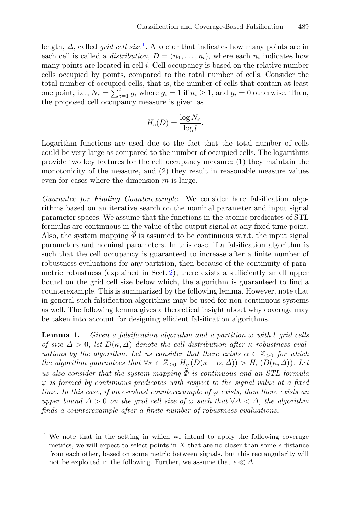length,  $\Delta$ , called *grid cell size*<sup>[1](#page-6-0)</sup>. A vector that indicates how many points are in each cell is called a *distribution*,  $D = (n_1, \ldots, n_l)$ , where each  $n_i$  indicates how many points are located in cell  $i$ . Cell occupancy is based on the relative number cells occupied by points, compared to the total number of cells. Consider the total number of occupied cells, that is, the number of cells that contain at least many points are located in cell *i*. Cell occupancy is based on the relative number cells occupied by points, compared to the total number of cells. Consider the total number of occupied cells, that is, the number of cell the proposed cell occupancy measure is given as

$$
H_c(D) = \frac{\log N_c}{\log l}.
$$

Logarithm functions are used due to the fact that the total number of cells could be very large as compared to the number of occupied cells. The logarithms provide two key features for the cell occupancy measure: (1) they maintain the monotonicity of the measure, and (2) they result in reasonable measure values even for cases where the dimension  $m$  is large.

*Guarantee for Finding Counterexample.* We consider here falsification algorithms based on an iterative search on the nominal parameter and input signal parameter spaces. We assume that the functions in the atomic predicates of STL formulas are continuous in the value of the output signal at any fixed time point. rithms based on an iterative<br>parameter spaces. We assum<br>formulas are continuous in th<br>Also, the system mapping  $\widehat{\Phi}$ Also, the system mapping  $\overline{\Phi}$  is assumed to be continuous w.r.t. the input signal parameters and nominal parameters. In this case, if a falsification algorithm is such that the cell occupancy is guaranteed to increase after a finite number of robustness evaluations for any partition, then because of the continuity of parametric robustness (explained in Sect. [2\)](#page-3-1), there exists a sufficiently small upper bound on the grid cell size below which, the algorithm is guaranteed to find a counterexample. This is summarized by the following lemma. However, note that in general such falsification algorithms may be used for non-continuous systems as well. The following lemma gives a theoretical insight about why coverage may be taken into account for designing efficient falsification algorithms.

<span id="page-6-1"></span>**Lemma 1.** *Given a falsification algorithm and a partition*  $\omega$  *with* l *grid cells of size*  $\Delta > 0$ , let  $D(\kappa, \Delta)$  denote the cell distribution after  $\kappa$  robustness eval*uations by the algorithm. Let us consider that there exists*  $\alpha \in \mathbb{Z}_{>0}$  *for which the algorithm guarantees that*  $\forall \kappa \in \mathbb{Z}_{\geq 0}$   $H_c(D(\kappa + \alpha, \Delta)) > H_c(D(\kappa, \Delta))$ *. Let us also consider the cell*  $\omega$  *us also consider the algorithm guarantees that*  $\forall \kappa \in \mathbb{Z}_{\geq 0}$  *H<sub>c</sub> us also consider that the system mapping*  $\widehat{\Phi}$ *us also consider that the system mapping*  $\widehat{\Phi}$  *is continuous and an STL formula* ϕ *is formed by continuous predicates with respect to the signal value at a fixed time. In this case, if an*  $\epsilon$ -robust counterexample of  $\varphi$  exists, then there exists an *upper bound*  $\overline{\Delta} > 0$  *on the grid cell size of*  $\omega$  *such that*  $\forall \Delta < \overline{\Delta}$ *, the algorithm finds a counterexample after a finite number of robustness evaluations.*

<span id="page-6-0"></span><sup>&</sup>lt;sup>1</sup> We note that in the setting in which we intend to apply the following coverage metrics, we will expect to select points in X that are no closer than some  $\epsilon$  distance from each other, based on some metric between signals, but this rectangularity will not be exploited in the following. Further, we assume that  $\epsilon \ll \Delta.$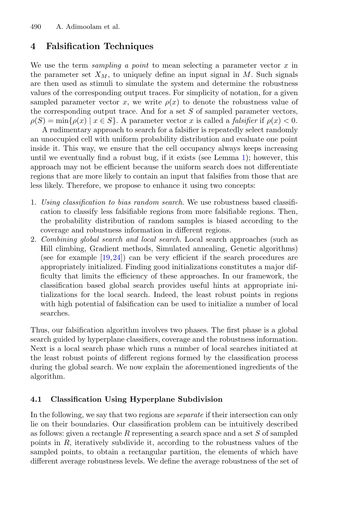## **4 Falsification Techniques**

We use the term *sampling a point* to mean selecting a parameter vector  $x$  in the parameter set  $X_M$ , to uniquely define an input signal in M. Such signals are then used as stimuli to simulate the system and determine the robustness values of the corresponding output traces. For simplicity of notation, for a given sampled parameter vector x, we write  $\rho(x)$  to denote the robustness value of the corresponding output trace. And for a set  $S$  of sampled parameter vectors,  $\rho(S) = \min\{\rho(x) \mid x \in S\}$ . A parameter vector x is called a *falsifier* if  $\rho(x) < 0$ .

A rudimentary approach to search for a falsifier is repeatedly select randomly an unoccupied cell with uniform probability distribution and evaluate one point inside it. This way, we ensure that the cell occupancy always keeps increasing until we eventually find a robust bug, if it exists (see Lemma [1\)](#page-6-1); however, this approach may not be efficient because the uniform search does not differentiate regions that are more likely to contain an input that falsifies from those that are less likely. Therefore, we propose to enhance it using two concepts:

- 1. *Using classification to bias random search*. We use robustness based classification to classify less falsifiable regions from more falsifiable regions. Then, the probability distribution of random samples is biased according to the coverage and robustness information in different regions.
- 2. *Combining global search and local search*. Local search approaches (such as Hill climbing, Gradient methods, Simulated annealing, Genetic algorithms) (see for example  $[19,24]$  $[19,24]$ ) can be very efficient if the search procedures are appropriately initialized. Finding good initializations constitutes a major difficulty that limits the efficiency of these approaches. In our framework, the classification based global search provides useful hints at appropriate initializations for the local search. Indeed, the least robust points in regions with high potential of falsification can be used to initialize a number of local searches.

Thus, our falsification algorithm involves two phases. The first phase is a global search guided by hyperplane classifiers, coverage and the robustness information. Next is a local search phase which runs a number of local searches initiated at the least robust points of different regions formed by the classification process during the global search. We now explain the aforementioned ingredients of the algorithm.

## **4.1 Classification Using Hyperplane Subdivision**

In the following, we say that two regions are *separate* if their intersection can only lie on their boundaries. Our classification problem can be intuitively described as follows: given a rectangle  $R$  representing a search space and a set  $S$  of sampled points in R, iteratively subdivide it, according to the robustness values of the sampled points, to obtain a rectangular partition, the elements of which have different average robustness levels. We define the average robustness of the set of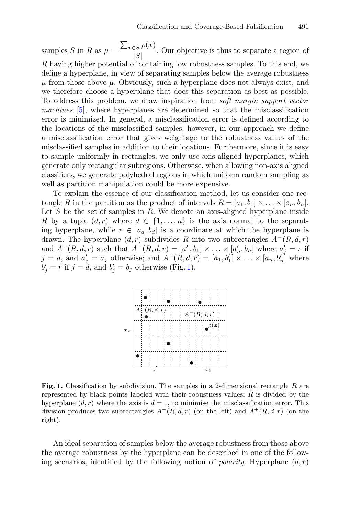samples S in R as  $\mu = \frac{\sum_{x \in S} \rho(x)}{|S|}$ . Our objective is thus to separate a region of

R having higher potential of containing low robustness samples. To this end, we define a hyperplane, in view of separating samples below the average robustness  $\mu$  from those above  $\mu$ . Obviously, such a hyperplane does not always exist, and we therefore choose a hyperplane that does this separation as best as possible. To address this problem, we draw inspiration from *soft margin support vector machines* [\[5\]](#page-19-14), where hyperplanes are determined so that the misclassification error is minimized. In general, a misclassification error is defined according to the locations of the misclassified samples; however, in our approach we define a misclassification error that gives weightage to the robustness values of the misclassified samples in addition to their locations. Furthermore, since it is easy to sample uniformly in rectangles, we only use axis-aligned hyperplanes, which generate only rectangular subregions. Otherwise, when allowing non-axis aligned classifiers, we generate polyhedral regions in which uniform random sampling as well as partition manipulation could be more expensive.

To explain the essence of our classification method, let us consider one rectangle R in the partition as the product of intervals  $R = [a_1, b_1] \times ... \times [a_n, b_n]$ . Let S be the set of samples in R. We denote an axis-aligned hyperplane inside R by a tuple  $(d, r)$  where  $d \in \{1, ..., n\}$  is the axis normal to the separating hyperplane, while  $r \in [a_d, b_d]$  is a coordinate at which the hyperplane is drawn. The hyperplane  $(d, r)$  subdivides R into two subrectangles  $A^{-}(R, d, r)$ and  $A^+(R,d,r)$  such that  $A^-(R,d,r) = [a'_1, b_1] \times \ldots \times [a'_n, b_n]$  where  $a'_j = r$  if  $j = d$ , and  $a'_j = a_j$  otherwise; and  $A^+(R, d, r) = [a_1, b'_1] \times \ldots \times [a_n, b'_n]$  where  $b'_j = r$  if  $j = d$ , and  $b'_j = b_j$  otherwise (Fig. [1\)](#page-8-0).

<span id="page-8-0"></span>

**Fig. 1.** Classification by subdivision. The samples in a 2-dimensional rectangle R are represented by black points labeled with their robustness values;  $R$  is divided by the hyperplane  $(d, r)$  where the axis is  $d = 1$ , to minimise the misclassification error. This division produces two subrectangles  $A^{-}(R, d, r)$  (on the left) and  $A^{+}(R, d, r)$  (on the right).

An ideal separation of samples below the average robustness from those above the average robustness by the hyperplane can be described in one of the following scenarios, identified by the following notion of *polarity*. Hyperplane  $(d, r)$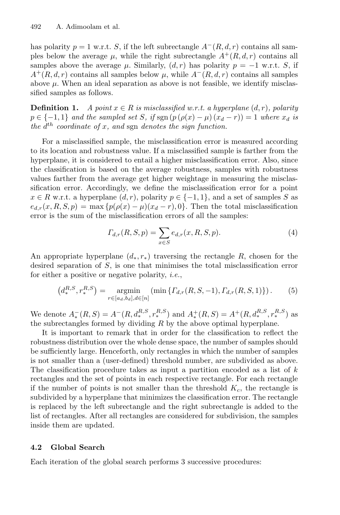has polarity  $p = 1$  w.r.t. S, if the left subrectangle  $A^{-}(R, d, r)$  contains all samples below the average  $\mu$ , while the right subrectangle  $A^+(R, d, r)$  contains all samples above the average  $\mu$ . Similarly,  $(d, r)$  has polarity  $p = -1$  w.r.t. S, if  $A^+(R, d, r)$  contains all samples below  $\mu$ , while  $A^-(R, d, r)$  contains all samples above  $\mu$ . When an ideal separation as above is not feasible, we identify misclassified samples as follows.

**Definition 1.** *A point*  $x \in R$  *is misclassified w.r.t. a hyperplane*  $(d, r)$ *, polarity*  $p \in \{-1,1\}$  *and the sampled set* S, if sgn  $(p (p(x) - \mu) (x_d - r)) = 1$  where  $x_d$  is *the*  $d^{th}$  *coordinate* of x, and sgn *denotes* the sign function.

For a misclassified sample, the misclassification error is measured according to its location and robustness value. If a misclassified sample is farther from the hyperplane, it is considered to entail a higher misclassification error. Also, since the classification is based on the average robustness, samples with robustness values farther from the average get higher weightage in measuring the misclassification error. Accordingly, we define the misclassification error for a point  $x \in R$  w.r.t. a hyperplane  $(d, r)$ , polarity  $p \in \{-1, 1\}$ , and a set of samples S as  $e_{d,r}(x, R, S, p) = \max \{p(\rho(x) - \mu)(x_d - r), 0\}.$  Then the total misclassification error is the sum of the misclassification errors of all the samples: me  $(a, r)$ , polarity<br>  $p(\rho(x) - \mu)(x_d - r)$ <br>
misclassification e:<br>  $\Gamma_{d,r}(R, S, p) = \sum$ 

$$
\Gamma_{d,r}(R,S,p) = \sum_{x \in S} e_{d,r}(x,R,S,p).
$$
 (4)

An appropriate hyperplane  $(d_*, r_*)$  traversing the rectangle R, chosen for the desired separation of S, is one that minimises the total misclassification error for either a positive or negative polarity, *i.e.*,

$$
(d_*^{R,S}, r_*^{R,S}) = \operatorname*{argmin}_{r \in [a_d, b_d], d \in [n]} (\min \{ \Gamma_{d,r}(R, S, -1), \Gamma_{d,r}(R, S, 1) \}).
$$
 (5)

We denote  $A_*^-(R, S) = A^-(R, d_*^{R,S}, r_*^{R,S})$  and  $A_*^+(R, S) = A^+(R, d_*^{R,S}, r_*^{R,S})$  as the subrectangles formed by dividing  $R$  by the above optimal hyperplane.

It is important to remark that in order for the classification to reflect the robustness distribution over the whole dense space, the number of samples should be sufficiently large. Henceforth, only rectangles in which the number of samples is not smaller than a (user-defined) threshold number, are subdivided as above. The classification procedure takes as input a partition encoded as a list of k rectangles and the set of points in each respective rectangle. For each rectangle if the number of points is not smaller than the threshold  $K_c$ , the rectangle is subdivided by a hyperplane that minimizes the classification error. The rectangle is replaced by the left subrectangle and the right subrectangle is added to the list of rectangles. After all rectangles are considered for subdivision, the samples inside them are updated.

#### **4.2 Global Search**

Each iteration of the global search performs 3 successive procedures: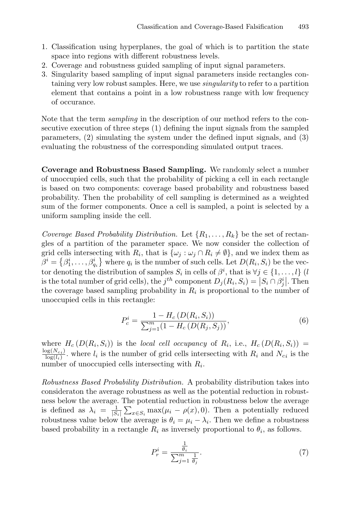- 1. Classification using hyperplanes, the goal of which is to partition the state space into regions with different robustness levels.
- 2. Coverage and robustness guided sampling of input signal parameters.
- 3. Singularity based sampling of input signal parameters inside rectangles containing very low robust samples. Here, we use *singularity* to refer to a partition element that contains a point in a low robustness range with low frequency of occurance.

Note that the term *sampling* in the description of our method refers to the consecutive execution of three steps (1) defining the input signals from the sampled parameters, (2) simulating the system under the defined input signals, and (3) evaluating the robustness of the corresponding simulated output traces.

**Coverage and Robustness Based Sampling.** We randomly select a number of unoccupied cells, such that the probability of picking a cell in each rectangle is based on two components: coverage based probability and robustness based probability. Then the probability of cell sampling is determined as a weighted sum of the former components. Once a cell is sampled, a point is selected by a uniform sampling inside the cell.

*Coverage Based Probability Distribution.* Let  $\{R_1, \ldots, R_k\}$  be the set of rectangles of a partition of the parameter space. We now consider the collection of grid cells intersecting with  $R_i$ , that is  $\{\omega_j : \omega_j \cap R_i \neq \emptyset\}$ , and we index them as Coverage Based Probability Distribution. Let  $\{R_1, \ldots, R_k\}$  be the set of rectangles of a partition of the parameter space. We now consider the collection of grid cells intersecting with  $R_i$ , that is  $\{\omega_j : \omega_j \cap R_i \neq \empty$ tor denoting the distribution of samples  $S_i$  in cells of  $\beta^i$ , that is  $\forall j \in \{1, \ldots, l\}$  (l grid cells intersecting with  $R_i$ , that is  $\{\omega_j : \omega_j \cap R_i \neq \emptyset\}$ , and we  $\beta^i = \{\beta_1^i, \ldots, \beta_{q_i}^i\}$  where  $q_i$  is the number of such cells. Let  $D(R_i)$ , tor denoting the distribution of samples  $S_i$  in cells of  $\beta^i$ ,  $S_i \cap \beta_j^i$ . Then the coverage based sampling probability in  $R_i$  is proportional to the number of unoccupied cells in this rectangle:

$$
P_c^i = \frac{1 - H_c(D(R_i, S_i))}{\sum_{j=1}^m (1 - H_c(D(R_j, S_j)))},\tag{6}
$$

where  $H_c(D(R_i, S_i))$  is the *local cell occupancy* of  $R_i$ , i.e.,  $H_c(D(R_i, S_i))$  =  $\frac{\log(N_{ci})}{\log(l_i)}$ , where  $l_i$  is the number of grid cells intersecting with  $R_i$  and  $N_{ci}$  is the number of unoccupied cells intersecting with  $R_i$ .

*Robustness Based Probability Distribution.* A probability distribution takes into consideraton the average robustness as well as the potential reduction in robustness below the average. The potential reduction in robustness below the average is defined as  $\lambda_i = \frac{1}{|S_i|} \sum_{x \in S_i} \max(\mu_i - \rho(x), 0)$ . Then a potentially reduced robustness value below the average is  $\theta_i = \mu_i - \lambda_i$ . Then we define a robustness based probability in a rectangle  $R_i$  as inversely proportional to  $\theta_i$ , as follows.

<span id="page-10-0"></span>
$$
P_r^i = \frac{\frac{1}{\theta_i}}{\sum_{j=1}^m \frac{1}{\theta_j}}.\tag{7}
$$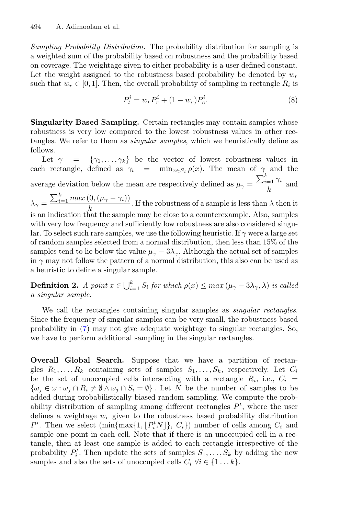*Sampling Probability Distribution.* The probability distribution for sampling is a weighted sum of the probability based on robustness and the probability based on coverage. The weightage given to either probability is a user defined constant. Let the weight assigned to the robustness based probability be denoted by  $w_r$ such that  $w_r \in [0, 1]$ . Then, the overall probability of sampling in rectangle  $R_i$  is

$$
P_t^i = w_r P_r^i + (1 - w_r) P_c^i.
$$
 (8)

**Singularity Based Sampling.** Certain rectangles may contain samples whose robustness is very low compared to the lowest robustness values in other rectangles. We refer to them as *singular samples*, which we heuristically define as follows.

Let  $\gamma = {\gamma_1, \ldots, \gamma_k}$  be the vector of lowest robustness values in each rectangle, defined as  $\gamma_i$  = min<sub>x∈S<sub>i</sub></sub>  $\rho(x)$ . The mean of  $\gamma$  and the average deviation below the mean are respectively defined as  $\mu_{\gamma} =$  $\frac{k}{k}$  and  $k$  $\lambda_\gamma =$  $\sum_{i=1}^{k} \max(0, (\mu_{\gamma} - \gamma_i))$ . If the robustness of a sample is less than  $\lambda$  then it is an indication that the sample may be close to a counterexample. Also, samples with very low frequency and sufficiently low robustness are also considered singular. To select such rare samples, we use the following heuristic. If  $\gamma$  were a large set of random samples selected from a normal distribution, then less than 15% of the samples tend to lie below the value  $\mu_{\gamma} - 3\lambda_{\gamma}$ . Although the actual set of samples in  $\gamma$  may not follow the pattern of a normal distribution, this also can be used as a heuristic to define a singular sample. Sumples tend to he below the value  $\mu_{\gamma} - 3\lambda_{\gamma}$ . Although the actual set or samples<br>in  $\gamma$  may not follow the pattern of a normal distribution, this also can be used as<br>a heuristic to define a singular sample.<br>**Defi** 

*a singular sample.*

We call the rectangles containing singular samples as *singular rectangles*. Since the frequency of singular samples can be very small, the robustness based probability in [\(7\)](#page-10-0) may not give adequate weightage to singular rectangles. So, we have to perform additional sampling in the singular rectangles.

**Overall Global Search.** Suppose that we have a partition of rectangles  $R_1, \ldots, R_k$  containing sets of samples  $S_1, \ldots, S_k$ , respectively. Let  $C_i$ be the set of unoccupied cells intersecting with a rectangle  $R_i$ , i.e.,  $C_i$  =  $\{\omega_j \in \omega : \omega_j \cap R_i \neq \emptyset \wedge \omega_j \cap S_i = \emptyset\}.$  Let N be the number of samples to be added during probabilistically biased random sampling. We compute the probability distribution of sampling among different rectangles  $P<sup>t</sup>$ , where the user defines a weightage  $w_r$  given to the robustness based probability distribution  $P^r$ . Then we select  $(\min{\max{1, \lfloor P_i^t N \rfloor}, |C_i|})$  number of cells among  $C_i$  and sample one point in each cell. Note that if there is an unoccupied cell in a rectangle, then at least one sample is added to each rectangle irrespective of the probability  $P_i^t$ . Then update the sets of samples  $S_1, \ldots, S_k$  by adding the new samples and also the sets of unoccupied cells  $C_i \,\forall i \in \{1 \dots k\}.$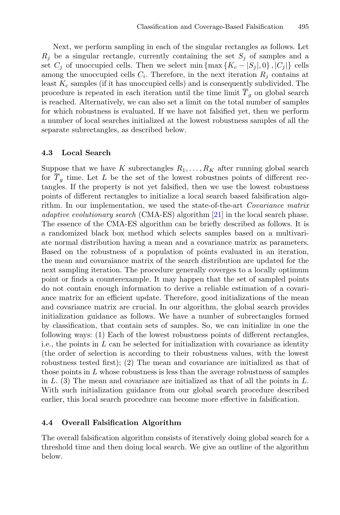Next, we perform sampling in each of the singular rectangles as follows. Let  $R_j$  be a singular rectangle, currently containing the set  $S_j$  of samples and a set  $C_i$  of unoccupied cells. Then we select min {max {K<sub>c</sub> – |S<sub>j</sub>|, 0}, |C<sub>j</sub>|} cells among the unoccupied cells  $C_i$ . Therefore, in the next iteration  $R_j$  contains at least  $K_c$  samples (if it has unoccupied cells) and is consequently subdivided. The procedure is repeated in each iteration until the time limit  $\overline{T}_g$  on global search is reached. Alternatively, we can also set a limit on the total number of samples for which robustness is evaluated. If we have not falsified yet, then we perform a number of local searches initialized at the lowest robustness samples of all the separate subrectangles, as described below.

#### **4.3 Local Search**

Suppose that we have K subrectangles  $R_1, \ldots, R_K$  after running global search for  $T<sub>q</sub>$  time. Let L be the set of the lowest robustnes points of different rectangles. If the property is not yet falsified, then we use the lowest robustness points of different rectangles to initialize a local search based falsification algorithm. In our implementation, we used the state-of-the-art *Covariance matrix adaptive evolutionary search* (CMA-ES) algorithm [\[21](#page-20-6)] in the local search phase. The essence of the CMA-ES algorithm can be briefly described as follows. It is a randomized black box method which selects samples based on a multivariate normal distribution having a mean and a covariance matrix as parameters. Based on the robustness of a population of points evaluated in an iteration, the mean and covaraiance matrix of the search distribution are updated for the next sampling iteration. The procedure generally coverges to a locally optimum point or finds a counterexample. It may happen that the set of sampled points do not contain enough information to derive a reliable estimation of a covariance matrix for an efficient update. Therefore, good initializations of the mean and covariance matrix are crucial. In our algorithm, the global search provides initialization guidance as follows. We have a number of subrectangles formed by classification, that contain sets of samples. So, we can initialize in one the following ways: (1) Each of the lowest robustness points of different rectangles, i.e., the points in  $L$  can be selected for initialization with covariance as identity (the order of selection is according to their robustness values, with the lowest robustness tested first); (2) The mean and covariance are initialized as that of those points in L whose robustness is less than the average robustness of samples in L.  $(3)$  The mean and covariance are initialized as that of all the points in L. With such initialization guidance from our global search procedure described earlier, this local search procedure can become more effective in falsification.

#### **4.4 Overall Falsification Algorithm**

The overall falsification algorithm consists of iteratively doing global search for a threshold time and then doing local search. We give an outline of the algorithm below.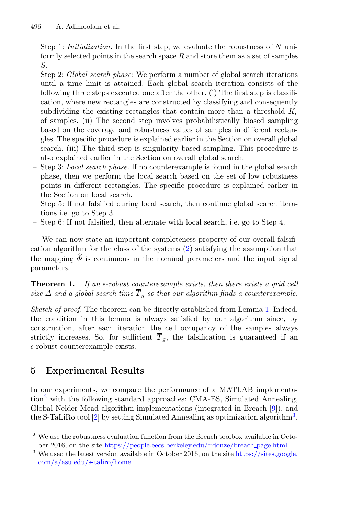- Step 1: *Initialization.* In the first step, we evaluate the robustness of N uniformly selected points in the search space  $R$  and store them as a set of samples S.
- Step 2: *Global search phase*: We perform a number of global search iterations until a time limit is attained. Each global search iteration consists of the following three steps executed one after the other. (i) The first step is classification, where new rectangles are constructed by classifying and consequently subdividing the existing rectangles that contain more than a threshold  $K_c$ of samples. (ii) The second step involves probabilistically biased sampling based on the coverage and robustness values of samples in different rectangles. The specific procedure is explained earlier in the Section on overall global search. (iii) The third step is singularity based sampling. This procedure is also explained earlier in the Section on overall global search.
- Step 3: *Local search phase.* If no counterexample is found in the global search phase, then we perform the local search based on the set of low robustness points in different rectangles. The specific procedure is explained earlier in the Section on local search.
- Step 5: If not falsified during local search, then continue global search iterations i.e. go to Step 3.
- Step 6: If not falsified, then alternate with local search, i.e. go to Step 4.

We can now state an important completeness property of our overall falsification algorithm for the class of the systems [\(2\)](#page-4-1) satisfying the assumption that We can now state an important completeness property of our overall falsification algorithm for the class of the systems (2) satisfying the assumption that the mapping  $\hat{\Phi}$  is continuous in the nominal parameters and th parameters.

**Theorem 1.** If an  $\epsilon$ -robust counterexample exists, then there exists a grid cell *size*  $\Delta$  *and a global search time*  $\overline{T}_q$  *so that our algorithm finds a counterexample.* 

*Sketch of proof.* The theorem can be directly established from Lemma [1.](#page-6-1) Indeed, the condition in this lemma is always satisfied by our algorithm since, by construction, after each iteration the cell occupancy of the samples always strictly increases. So, for sufficient  $T<sub>q</sub>$ , the falsification is guaranteed if an  $\epsilon$ -robust counterexample exists.

## **5 Experimental Results**

In our experiments, we compare the performance of a MATLAB implementa- $\{\tan^2 \text{ with the following standard approaches: CMA-ES, Simulated Annealing,}\}$  $\{\tan^2 \text{ with the following standard approaches: CMA-ES, Simulated Annealing,}\}$  $\{\tan^2 \text{ with the following standard approaches: CMA-ES, Simulated Annealing,}\}$ Global Nelder-Mead algorithm implementations (integrated in Breach [\[9](#page-19-8)]), and the S-TaLiRo tool [\[2](#page-19-11)] by setting Simulated Annealing as optimization algorithm<sup>[3](#page-13-1)</sup>.

<span id="page-13-0"></span> $^{\rm 2}$  We use the robustness evaluation function from the Breach toolbox available in October 2016, on the site [https://people.eecs.berkeley.edu/](https://people.eecs.berkeley.edu/~donze/breach_page.html)∼donze/breach page.html.

<span id="page-13-1"></span><sup>&</sup>lt;sup>3</sup> We used the latest version available in October 2016, on the site [https://sites.google.](https://sites.google.com/a/asu.edu/s-taliro/home) [com/a/asu.edu/s-taliro/home.](https://sites.google.com/a/asu.edu/s-taliro/home)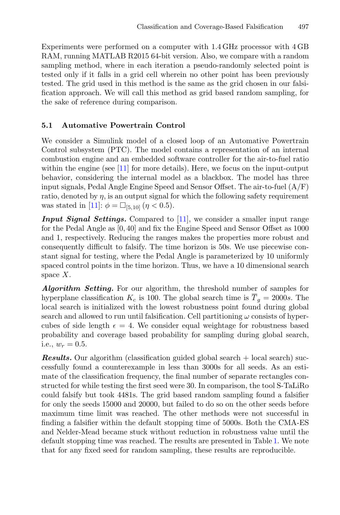Experiments were performed on a computer with 1.4 GHz processor with 4 GB RAM, running MATLAB R2015 64-bit version. Also, we compare with a random sampling method, where in each iteration a pseudo-randomly selected point is tested only if it falls in a grid cell wherein no other point has been previously tested. The grid used in this method is the same as the grid chosen in our falsification approach. We will call this method as grid based random sampling, for the sake of reference during comparison.

### <span id="page-14-0"></span>**5.1 Automative Powertrain Control**

We consider a Simulink model of a closed loop of an Automative Powertrain Control subsystem (PTC). The model contains a representation of an internal combustion engine and an embedded software controller for the air-to-fuel ratio within the engine (see [\[11](#page-19-6)] for more details). Here, we focus on the input-output behavior, considering the internal model as a blackbox. The model has three input signals, Pedal Angle Engine Speed and Sensor Offset. The air-to-fuel  $(A/F)$ ratio, denoted by  $\eta$ , is an output signal for which the following safety requirement was stated in [\[11](#page-19-6)]:  $\phi = \Box_{[5,10]}$  ( $\eta < 0.5$ ).

*Input Signal Settings.* Compared to [\[11](#page-19-6)], we consider a smaller input range for the Pedal Angle as [0, 40] and fix the Engine Speed and Sensor Offset as 1000 and 1, respectively. Reducing the ranges makes the properties more robust and consequently difficult to falsify. The time horizon is 50s. We use piecewise constant signal for testing, where the Pedal Angle is parameterized by 10 uniformly spaced control points in the time horizon. Thus, we have a 10 dimensional search space  $X$ .

*Algorithm Setting.* For our algorithm, the threshold number of samples for hyperplane classification  $K_c$  is 100. The global search time is  $\overline{T}_q = 2000s$ . The local search is initialized with the lowest robustness point found during global search and allowed to run until falsification. Cell partitioning  $\omega$  consists of hypercubes of side length  $\epsilon = 4$ . We consider equal weightage for robustness based probability and coverage based probability for sampling during global search, i.e.,  $w_r = 0.5$ .

*Results.* Our algorithm (classification guided global search + local search) successfully found a counterexample in less than 3000s for all seeds. As an estimate of the classification frequency, the final number of separate rectangles constructed for while testing the first seed were 30. In comparison, the tool S-TaLiRo could falsify but took 4481s. The grid based random sampling found a falsifier for only the seeds 15000 and 20000, but failed to do so on the other seeds before maximum time limit was reached. The other methods were not successful in finding a falsifier within the default stopping time of 5000s. Both the CMA-ES and Nelder-Mead became stuck without reduction in robustness value until the default stopping time was reached. The results are presented in Table [1.](#page-16-0) We note that for any fixed seed for random sampling, these results are reproducible.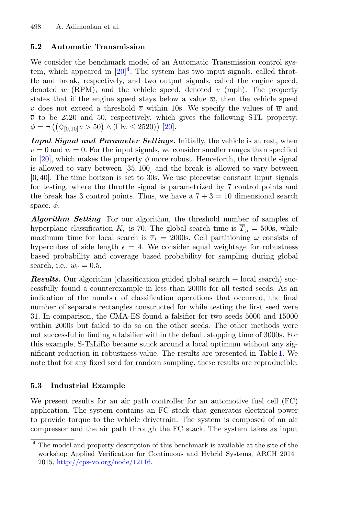## <span id="page-15-1"></span>**5.2 Automatic Transmission**

We consider the benchmark model of an Automatic Transmission control system, which appeared in  $[20]^4$  $[20]^4$  $[20]^4$ . The system has two input signals, called throttle and break, respectively, and two output signals, called the engine speed, denoted w (RPM), and the vehicle speed, denoted v (mph). The property states that if the engine speed stays below a value  $\overline{w}$ , then the vehicle speed v does not exceed a threshold  $\bar{v}$  within 10s. We specify the values of  $\bar{w}$  and  $\overline{v}$  to be 2520 and 50, respectively, which gives the following STL property: states that if the engine speed stays below<br>
v does not exceed a threshold  $\overline{v}$  within 10<br>  $\overline{v}$  to be 2520 and 50, respectively, which<br>  $\phi = \neg ((\Diamond_{[0,10]} v > 50) \land (\Box w \le 2520))$  [\[20\]](#page-20-10).

*Input Signal and Parameter Settings.* Initially, the vehicle is at rest, when  $v = 0$  and  $w = 0$ . For the input signals, we consider smaller ranges than specified in [\[20](#page-20-10)], which makes the property  $\phi$  more robust. Henceforth, the throttle signal is allowed to vary between [35, 100] and the break is allowed to vary between [0, 40]. The time horizon is set to 30s. We use piecewise constant input signals for testing, where the throttle signal is parametrized by 7 control points and the break has 3 control points. Thus, we have a  $7 + 3 = 10$  dimensional search space.  $\phi$ .

*Algorithm Setting*. For our algorithm, the threshold number of samples of hyperplane classification  $K_c$  is 70. The global search time is  $\overline{T}_q = 500$ s, while maximum time for local search is  $\overline{\tau}_l = 2000$ s. Cell partitioning  $\omega$  consists of hypercubes of side length  $\epsilon = 4$ . We consider equal weightage for robustness based probability and coverage based probability for sampling during global search, i.e.,  $w_r = 0.5$ .

*Results.* Our algorithm (classification guided global search + local search) successfully found a counterexample in less than 2000s for all tested seeds. As an indication of the number of classification operations that occurred, the final number of separate rectangles constructed for while testing the first seed were 31. In comparison, the CMA-ES found a falsifier for two seeds 5000 and 15000 within 2000s but failed to do so on the other seeds. The other methods were not successful in finding a falsifier within the default stopping time of 3000s. For this example, S-TaLiRo became stuck around a local optimum without any significant reduction in robustness value. The results are presented in Table [1.](#page-16-0) We note that for any fixed seed for random sampling, these results are reproducible.

## **5.3 Industrial Example**

We present results for an air path controller for an automotive fuel cell (FC) application. The system contains an FC stack that generates electrical power to provide torque to the vehicle drivetrain. The system is composed of an air compressor and the air path through the FC stack. The system takes as input

<span id="page-15-0"></span><sup>4</sup> The model and property description of this benchmark is available at the site of the workshop Applied Verification for Continuous and Hybrid Systems, ARCH 2014– 2015, [http://cps-vo.org/node/12116.](http://cps-vo.org/node/12116)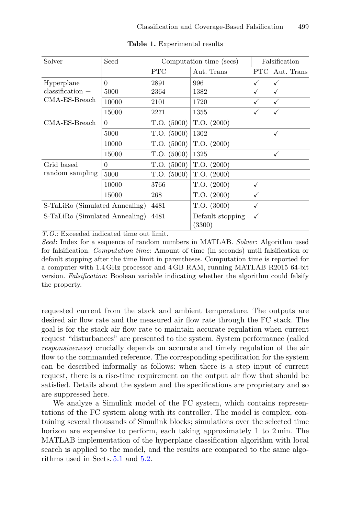<span id="page-16-0"></span>

| Solver                                              | Seed     | Computation time (secs) |                            | Falsification |              |
|-----------------------------------------------------|----------|-------------------------|----------------------------|---------------|--------------|
|                                                     |          | <b>PTC</b>              | Aut. Trans                 | <b>PTC</b>    | Aut. Trans   |
| Hyperplane<br>$classification +$<br>$CMA-ES-Breach$ | 0        | 2891                    | 996                        | √             | √            |
|                                                     | 5000     | 2364                    | 1382                       | ✓             | √            |
|                                                     | 10000    | 2101                    | 1720                       | ✓             | ✓            |
|                                                     | 15000    | 2271                    | 1355                       | $\checkmark$  | $\checkmark$ |
| $CMA-ES-Breach$                                     | $\Omega$ | T.O. (5000)             | T.O. (2000)                |               |              |
|                                                     | 5000     | T.O. (5000)             | 1302                       |               | ✓            |
|                                                     | 10000    | T.O. (5000)             | T.O. (2000)                |               |              |
|                                                     | 15000    | T.O. (5000)             | 1325                       |               | ✓            |
| Grid based<br>random sampling                       | $\Omega$ | T.O. (5000)             | T.O. (2000)                |               |              |
|                                                     | 5000     | T.O. (5000)             | T.O. (2000)                |               |              |
|                                                     | 10000    | 3766                    | T.O. (2000)                | ✓             |              |
|                                                     | 15000    | 268                     | T.O. (2000)                | ✓             |              |
| S-TaLiRo (Simulated Annealing)                      |          | 4481                    | T.O. (3000)                | $\checkmark$  |              |
| S-TaLiRo (Simulated Annealing)                      |          | 4481                    | Default stopping<br>(3300) | ✓             |              |

**Table 1.** Experimental results

*T.O.*: Exceeded indicated time out limit.

*Seed*: Index for a sequence of random numbers in MATLAB. *Solver*: Algorithm used for falsification. *Computation time*: Amount of time (in seconds) until falsification or default stopping after the time limit in parentheses. Computation time is reported for a computer with 1.4 GHz processor and 4 GB RAM, running MATLAB R2015 64-bit version. *Falsification*: Boolean variable indicating whether the algorithm could falsify the property.

requested current from the stack and ambient temperature. The outputs are desired air flow rate and the measured air flow rate through the FC stack. The goal is for the stack air flow rate to maintain accurate regulation when current request "disturbances" are presented to the system. System performance (called *responsiveness*) crucially depends on accurate and timely regulation of the air flow to the commanded reference. The corresponding specification for the system can be described informally as follows: when there is a step input of current request, there is a rise-time requirement on the output air flow that should be satisfied. Details about the system and the specifications are proprietary and so are suppressed here.

We analyze a Simulink model of the FC system, which contains representations of the FC system along with its controller. The model is complex, containing several thousands of Simulink blocks; simulations over the selected time horizon are expensive to perform, each taking approximately 1 to 2 min. The MATLAB implementation of the hyperplane classification algorithm with local search is applied to the model, and the results are compared to the same algorithms used in Sects. [5.1](#page-14-0) and [5.2.](#page-15-1)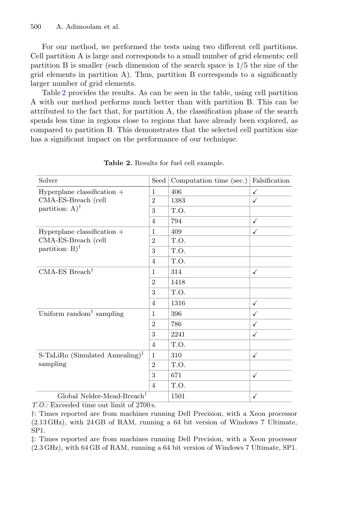For our method, we performed the tests using two different cell partitions. Cell partition A is large and corresponds to a small number of grid elements; cell partition B is smaller (each dimension of the search space is 1/5 the size of the grid elements in partition A). Thus, partition B corresponds to a significantly larger number of grid elements.

Table [2](#page-17-0) provides the results. As can be seen in the table, using cell partition A with our method performs much better than with partition B. This can be attributed to the fact that, for partition A, the classification phase of the search spends less time in regions close to regions that have already been explored, as compared to partition B. This demonstrates that the selected cell partition size has a significant impact on the performance of our technique.

<span id="page-17-0"></span>

| Solver                                                          | Seed           | Computation time (sec.) | Falsification |
|-----------------------------------------------------------------|----------------|-------------------------|---------------|
| $Hyperplane classification +$                                   | 1              | 406                     | $\checkmark$  |
| CMA-ES-Breach (cell<br>partition: $A$ <sup>†</sup>              |                | 1383                    | ✓             |
|                                                                 |                | T.O.                    |               |
|                                                                 |                | 794                     | $\checkmark$  |
| Hyperplane classification +                                     | 1              | 409                     | ✓             |
| CMA-ES-Breach (cell                                             | 2              | T.O.                    |               |
| partition: $B^{\dagger}$                                        | 3              | T.O.                    |               |
|                                                                 | 4              | T.O.                    |               |
| $CMA-ES$ Breach <sup>†</sup>                                    | 1              | 314                     | $\checkmark$  |
|                                                                 |                | 1418                    |               |
|                                                                 |                | T.O.                    |               |
|                                                                 |                | 1316                    | $\checkmark$  |
| Uniform random <sup>†</sup> sampling                            |                | 396                     | ✓             |
|                                                                 |                | 786                     | ✓             |
|                                                                 |                | 2241                    | ✓             |
|                                                                 |                | T.O.                    |               |
| S-TaLiRo (Simulated Annealing) <sup><math>\ddagger</math></sup> | 1              | 310                     | $\checkmark$  |
| sampling                                                        | $\overline{2}$ | T.O.                    |               |
|                                                                 | 3              | 671                     | $\checkmark$  |
|                                                                 |                | T.O.                    |               |
| Global Nelder-Mead-Breach <sup>†</sup>                          |                | 1501                    | ✓             |

**Table 2.** Results for fuel cell example.

*T.O.*: Exceeded time out limit of 2700 s.

‡: Times reported are from machines running Dell Precision, with a Xeon processor (2.3 GHz), with 64 GB of RAM, running a 64 bit version of Windows 7 Ultimate, SP1.

<sup>†</sup>: Times reported are from machines running Dell Precision, with a Xeon processor (2.13 GHz), with 24 GB of RAM, running a 64 bit version of Windows 7 Ultimate, SP1.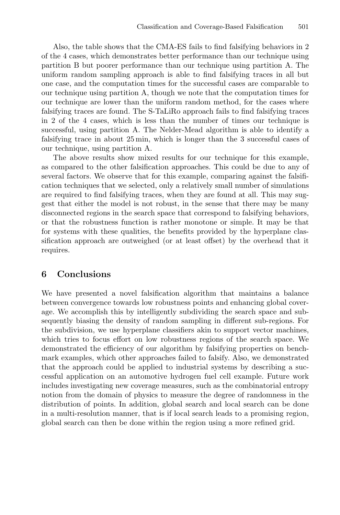Also, the table shows that the CMA-ES fails to find falsifying behaviors in 2 of the 4 cases, which demonstrates better performance than our technique using partition B but poorer performance than our technique using partition A. The uniform random sampling approach is able to find falsifying traces in all but one case, and the computation times for the successful cases are comparable to our technique using partition A, though we note that the computation times for our technique are lower than the uniform random method, for the cases where falsifying traces are found. The S-TaLiRo approach fails to find falsifying traces in 2 of the 4 cases, which is less than the number of times our technique is successful, using partition A. The Nelder-Mead algorithm is able to identify a falsifying trace in about 25 min, which is longer than the 3 successful cases of our technique, using partition A.

The above results show mixed results for our technique for this example, as compared to the other falsification approaches. This could be due to any of several factors. We observe that for this example, comparing against the falsification techniques that we selected, only a relatively small number of simulations are required to find falsifying traces, when they are found at all. This may suggest that either the model is not robust, in the sense that there may be many disconnected regions in the search space that correspond to falsifying behaviors, or that the robustness function is rather monotone or simple. It may be that for systems with these qualities, the benefits provided by the hyperplane classification approach are outweighed (or at least offset) by the overhead that it requires.

## **6 Conclusions**

We have presented a novel falsification algorithm that maintains a balance between convergence towards low robustness points and enhancing global coverage. We accomplish this by intelligently subdividing the search space and subsequently biasing the density of random sampling in different sub-regions. For the subdivision, we use hyperplane classifiers akin to support vector machines, which tries to focus effort on low robustness regions of the search space. We demonstrated the efficiency of our algorithm by falsifying properties on benchmark examples, which other approaches failed to falsify. Also, we demonstrated that the approach could be applied to industrial systems by describing a successful application on an automotive hydrogen fuel cell example. Future work includes investigating new coverage measures, such as the combinatorial entropy notion from the domain of physics to measure the degree of randomness in the distribution of points. In addition, global search and local search can be done in a multi-resolution manner, that is if local search leads to a promising region, global search can then be done within the region using a more refined grid.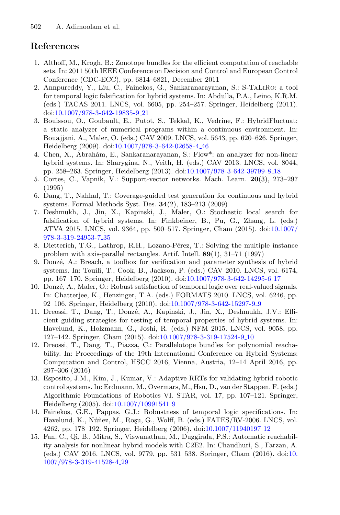## <span id="page-19-0"></span>**References**

- 1. Althoff, M., Krogh, B.: Zonotope bundles for the efficient computation of reachable sets. In: 2011 50th IEEE Conference on Decision and Control and European Control Conference (CDC-ECC), pp. 6814–6821, December 2011
- <span id="page-19-11"></span>2. Annpureddy, Y., Liu, C., Fainekos, G., Sankaranarayanan, S.: S-TaLiRo: a tool for temporal logic falsification for hybrid systems. In: Abdulla, P.A., Leino, K.R.M. (eds.) TACAS 2011. LNCS, vol. 6605, pp. 254–257. Springer, Heidelberg (2011). doi[:10.1007/978-3-642-19835-9](http://dx.doi.org/10.1007/978-3-642-19835-9_21) 21
- <span id="page-19-1"></span>3. Bouissou, O., Goubault, E., Putot, S., Tekkal, K., Vedrine, F.: HybridFluctuat: a static analyzer of numerical programs within a continuous environment. In: Bouajjani, A., Maler, O. (eds.) CAV 2009. LNCS, vol. 5643, pp. 620–626. Springer, Heidelberg (2009). doi[:10.1007/978-3-642-02658-4](http://dx.doi.org/10.1007/978-3-642-02658-4_46) 46
- <span id="page-19-2"></span>4. Chen, X., Ábrahám, E., Sankaranarayanan, S.: Flow\*: an analyzer for non-linear hybrid systems. In: Sharygina, N., Veith, H. (eds.) CAV 2013. LNCS, vol. 8044, pp. 258–263. Springer, Heidelberg (2013). doi[:10.1007/978-3-642-39799-8](http://dx.doi.org/10.1007/978-3-642-39799-8_18) 18
- <span id="page-19-14"></span>5. Cortes, C., Vapnik, V.: Support-vector networks. Mach. Learn. **20**(3), 273–297 (1995)
- <span id="page-19-5"></span>6. Dang, T., Nahhal, T.: Coverage-guided test generation for continuous and hybrid
- <span id="page-19-9"></span>systems. Formal Methods Syst. Des. **34**(2), 183–213 (2009) 7. Deshmukh, J., Jin, X., Kapinski, J., Maler, O.: Stochastic local search for falsification of hybrid systems. In: Finkbeiner, B., Pu, G., Zhang, L. (eds.) ATVA 2015. LNCS, vol. 9364, pp. 500–517. Springer, Cham (2015). doi[:10.1007/](http://dx.doi.org/10.1007/978-3-319-24953-7_35) [978-3-319-24953-7](http://dx.doi.org/10.1007/978-3-319-24953-7_35) 35
- <span id="page-19-10"></span>8. Dietterich, T.G., Lathrop, R.H., Lozano-Pérez, T.: Solving the multiple instance problem with axis-parallel rectangles. Artif. Intell. **89**(1), 31–71 (1997)
- <span id="page-19-8"></span>9. Donz´e, A.: Breach, a toolbox for verification and parameter synthesis of hybrid systems. In: Touili, T., Cook, B., Jackson, P. (eds.) CAV 2010. LNCS, vol. 6174, pp. 167–170. Springer, Heidelberg (2010). doi[:10.1007/978-3-642-14295-6](http://dx.doi.org/10.1007/978-3-642-14295-6_17) 17
- <span id="page-19-13"></span>10. Donz´e, A., Maler, O.: Robust satisfaction of temporal logic over real-valued signals. In: Chatterjee, K., Henzinger, T.A. (eds.) FORMATS 2010. LNCS, vol. 6246, pp. 92–106. Springer, Heidelberg (2010). doi[:10.1007/978-3-642-15297-9](http://dx.doi.org/10.1007/978-3-642-15297-9_9) 9
- <span id="page-19-6"></span>11. Dreossi, T., Dang, T., Donz´e, A., Kapinski, J., Jin, X., Deshmukh, J.V.: Efficient guiding strategies for testing of temporal properties of hybrid systems. In: Havelund, K., Holzmann, G., Joshi, R. (eds.) NFM 2015. LNCS, vol. 9058, pp. 127–142. Springer, Cham (2015). doi[:10.1007/978-3-319-17524-9](http://dx.doi.org/10.1007/978-3-319-17524-9_10) 10
- <span id="page-19-3"></span>12. Dreossi, T., Dang, T., Piazza, C.: Parallelotope bundles for polynomial reachability. In: Proceedings of the 19th International Conference on Hybrid Systems: Computation and Control, HSCC 2016, Vienna, Austria, 12–14 April 2016, pp. 297–306 (2016)
- <span id="page-19-7"></span>13. Esposito, J.M., Kim, J., Kumar, V.: Adaptive RRTs for validating hybrid robotic control systems. In: Erdmann, M., Overmars, M., Hsu, D., van der Stappen, F. (eds.) Algorithmic Foundations of Robotics VI. STAR, vol. 17, pp. 107–121. Springer, Heidelberg (2005). doi[:10.1007/10991541](http://dx.doi.org/10.1007/10991541_9) 9
- <span id="page-19-12"></span>14. Fainekos, G.E., Pappas, G.J.: Robustness of temporal logic specifications. In: Havelund, K., Núñez, M., Roşu, G., Wolff, B. (eds.) FATES/RV-2006. LNCS, vol. 4262, pp. 178–192. Springer, Heidelberg (2006). doi[:10.1007/11940197](http://dx.doi.org/10.1007/11940197_12) 12
- <span id="page-19-4"></span>15. Fan, C., Qi, B., Mitra, S., Viswanathan, M., Duggirala, P.S.: Automatic reachability analysis for nonlinear hybrid models with C2E2. In: Chaudhuri, S., Farzan, A. (eds.) CAV 2016. LNCS, vol. 9779, pp. 531–538. Springer, Cham (2016). doi[:10.](http://dx.doi.org/10.1007/978-3-319-41528-4_29) [1007/978-3-319-41528-4](http://dx.doi.org/10.1007/978-3-319-41528-4_29) 29